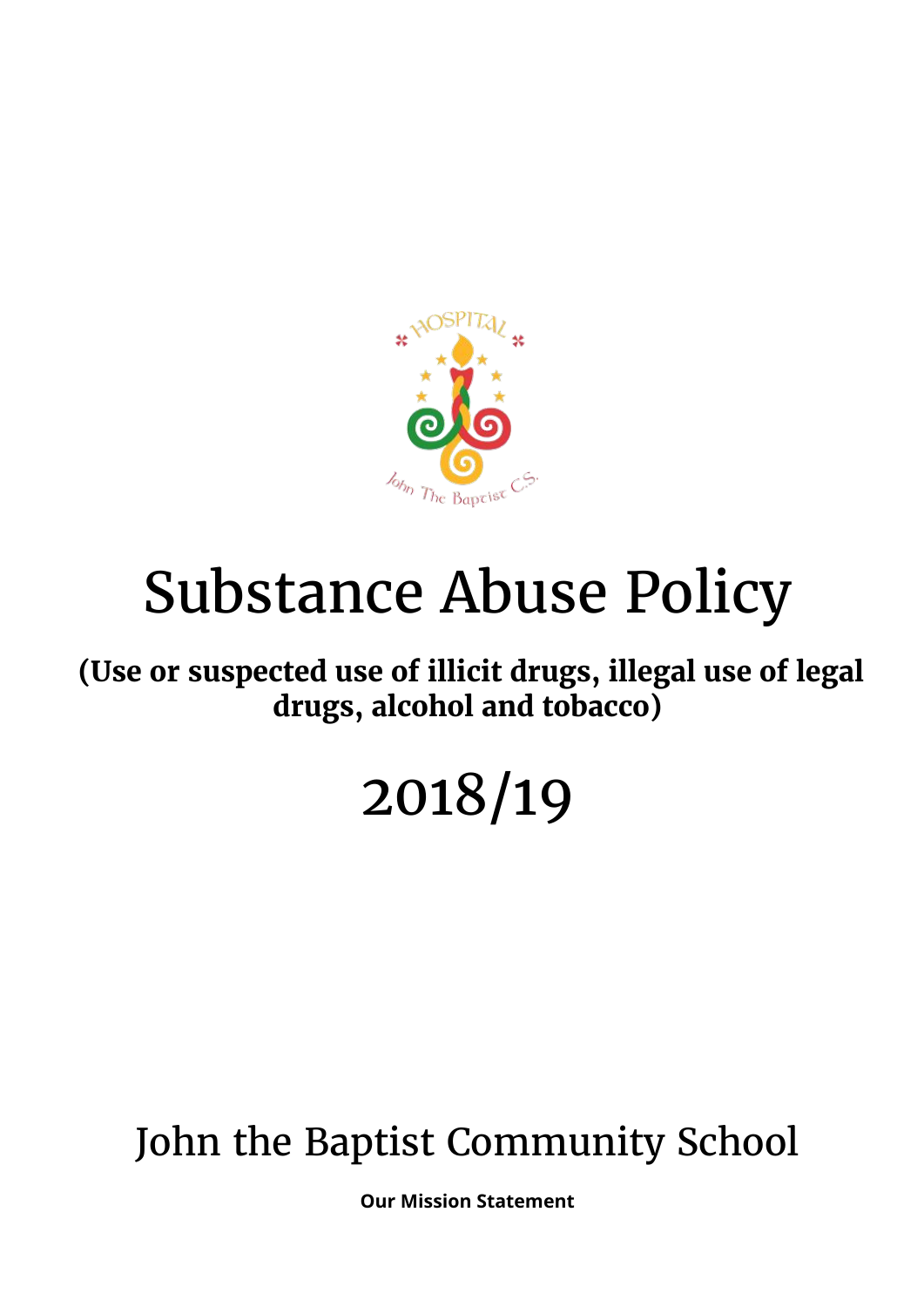

# Substance Abuse Policy

**(Use or suspected use of illicit drugs, illegal use of legal drugs, alcohol and tobacco)**

## 2018/19

### John the Baptist Community School

**Our Mission Statement**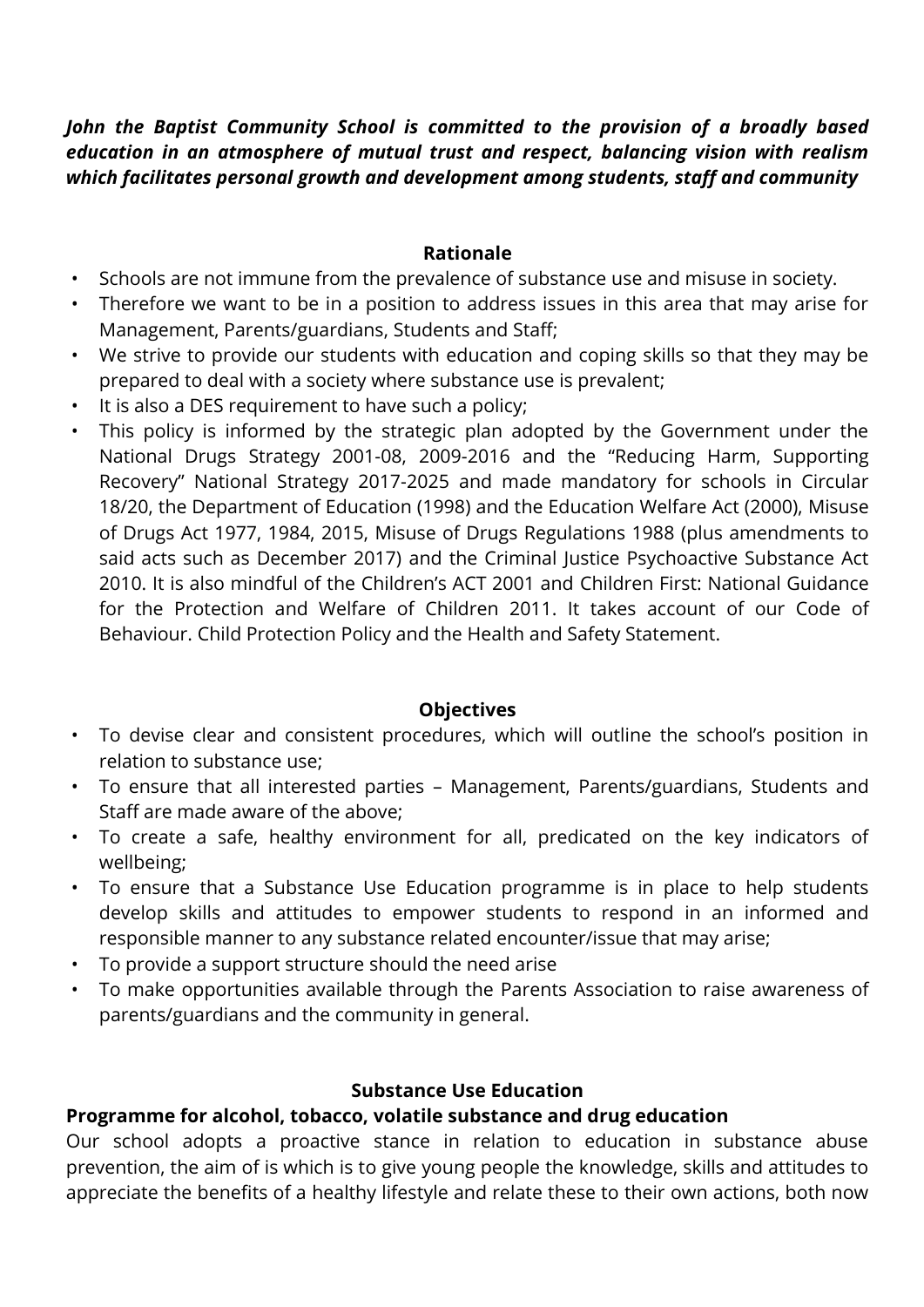#### *John the Baptist Community School is committed to the provision of a broadly based education in an atmosphere of mutual trust and respect, balancing vision with realism which facilitates personal growth and development among students, staff and community*

#### **Rationale**

- Schools are not immune from the prevalence of substance use and misuse in society.
- Therefore we want to be in a position to address issues in this area that may arise for Management, Parents/guardians, Students and Staff;
- We strive to provide our students with education and coping skills so that they may be prepared to deal with a society where substance use is prevalent;
- It is also a DES requirement to have such a policy;
- This policy is informed by the strategic plan adopted by the Government under the National Drugs Strategy 2001-08, 2009-2016 and the "Reducing Harm, Supporting Recovery" National Strategy 2017-2025 and made mandatory for schools in Circular 18/20, the Department of Education (1998) and the Education Welfare Act (2000), Misuse of Drugs Act 1977, 1984, 2015, Misuse of Drugs Regulations 1988 (plus amendments to said acts such as December 2017) and the Criminal Justice Psychoactive Substance Act 2010. It is also mindful of the Children's ACT 2001 and Children First: National Guidance for the Protection and Welfare of Children 2011. It takes account of our Code of Behaviour. Child Protection Policy and the Health and Safety Statement.

#### **Objectives**

- To devise clear and consistent procedures, which will outline the school's position in relation to substance use;
- To ensure that all interested parties Management, Parents/guardians, Students and Staff are made aware of the above;
- To create a safe, healthy environment for all, predicated on the key indicators of wellbeing;
- To ensure that a Substance Use Education programme is in place to help students develop skills and attitudes to empower students to respond in an informed and responsible manner to any substance related encounter/issue that may arise;
- To provide a support structure should the need arise
- To make opportunities available through the Parents Association to raise awareness of parents/guardians and the community in general.

#### **Substance Use Education**

#### **Programme for alcohol, tobacco, volatile substance and drug education**

Our school adopts a proactive stance in relation to education in substance abuse prevention, the aim of is which is to give young people the knowledge, skills and attitudes to appreciate the benefits of a healthy lifestyle and relate these to their own actions, both now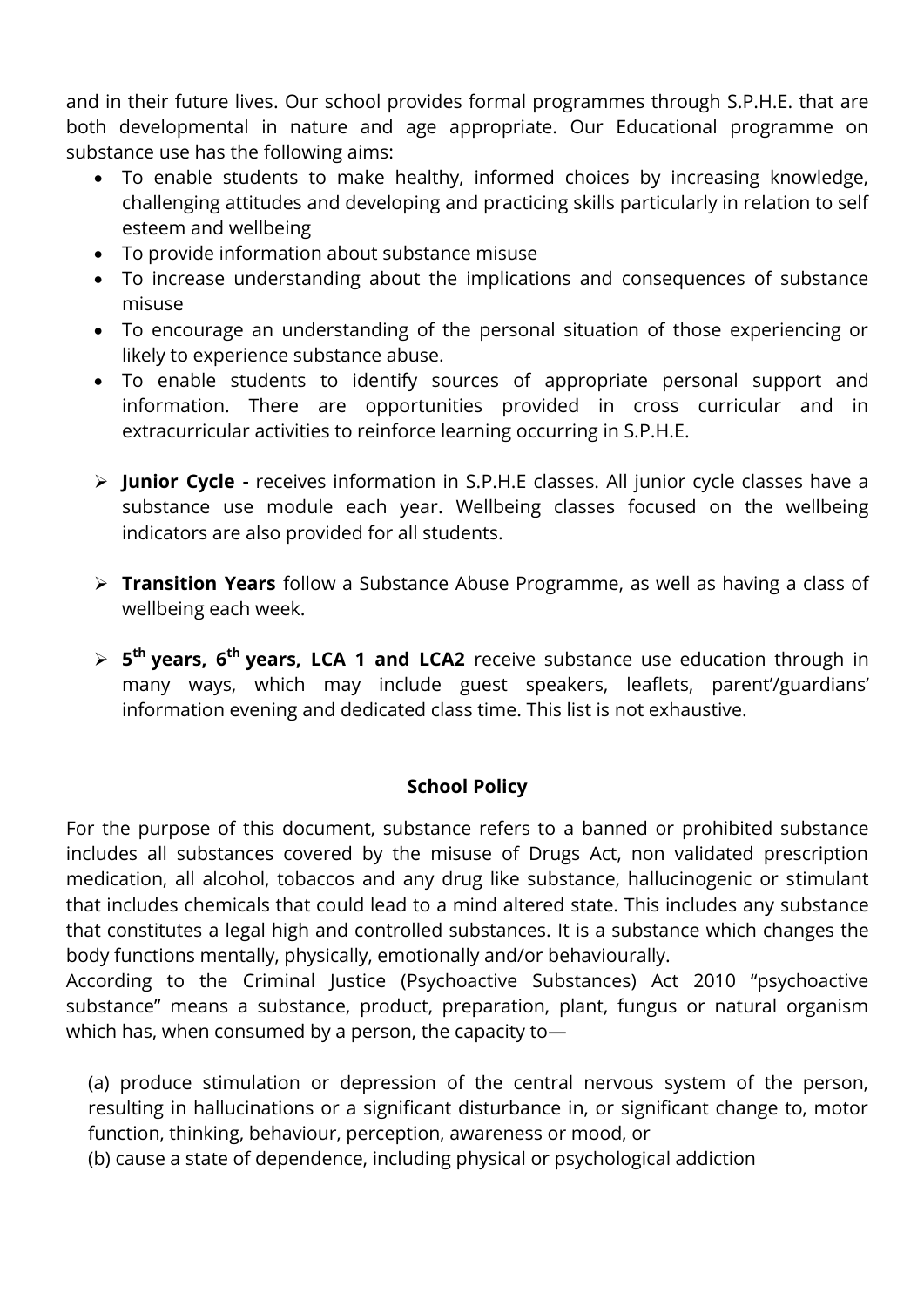and in their future lives. Our school provides formal programmes through S.P.H.E. that are both developmental in nature and age appropriate. Our Educational programme on substance use has the following aims:

- To enable students to make healthy, informed choices by increasing knowledge, challenging attitudes and developing and practicing skills particularly in relation to self esteem and wellbeing
- To provide information about substance misuse
- To increase understanding about the implications and consequences of substance misuse
- To encourage an understanding of the personal situation of those experiencing or likely to experience substance abuse.
- To enable students to identify sources of appropriate personal support and information. There are opportunities provided in cross curricular and in extracurricular activities to reinforce learning occurring in S.P.H.E.
- **Junior Cycle -** receives information in S.P.H.E classes. All junior cycle classes have a substance use module each year. Wellbeing classes focused on the wellbeing indicators are also provided for all students.
- **Transition Years** follow a Substance Abuse Programme, as well as having a class of wellbeing each week.
- **5 th years, 6th years, LCA 1 and LCA2** receive substance use education through in many ways, which may include guest speakers, leaflets, parent'/guardians' information evening and dedicated class time. This list is not exhaustive.

#### **School Policy**

For the purpose of this document, substance refers to a banned or prohibited substance includes all substances covered by the misuse of Drugs Act, non validated prescription medication, all alcohol, tobaccos and any drug like substance, hallucinogenic or stimulant that includes chemicals that could lead to a mind altered state. This includes any substance that constitutes a legal high and controlled substances. It is a substance which changes the body functions mentally, physically, emotionally and/or behaviourally.

According to the Criminal Justice (Psychoactive Substances) Act 2010 "psychoactive substance" means a substance, product, preparation, plant, fungus or natural organism which has, when consumed by a person, the capacity to—

(a) produce stimulation or depression of the central nervous system of the person, resulting in hallucinations or a significant disturbance in, or significant change to, motor function, thinking, behaviour, perception, awareness or mood, or

(b) cause a state of dependence, including physical or psychological addiction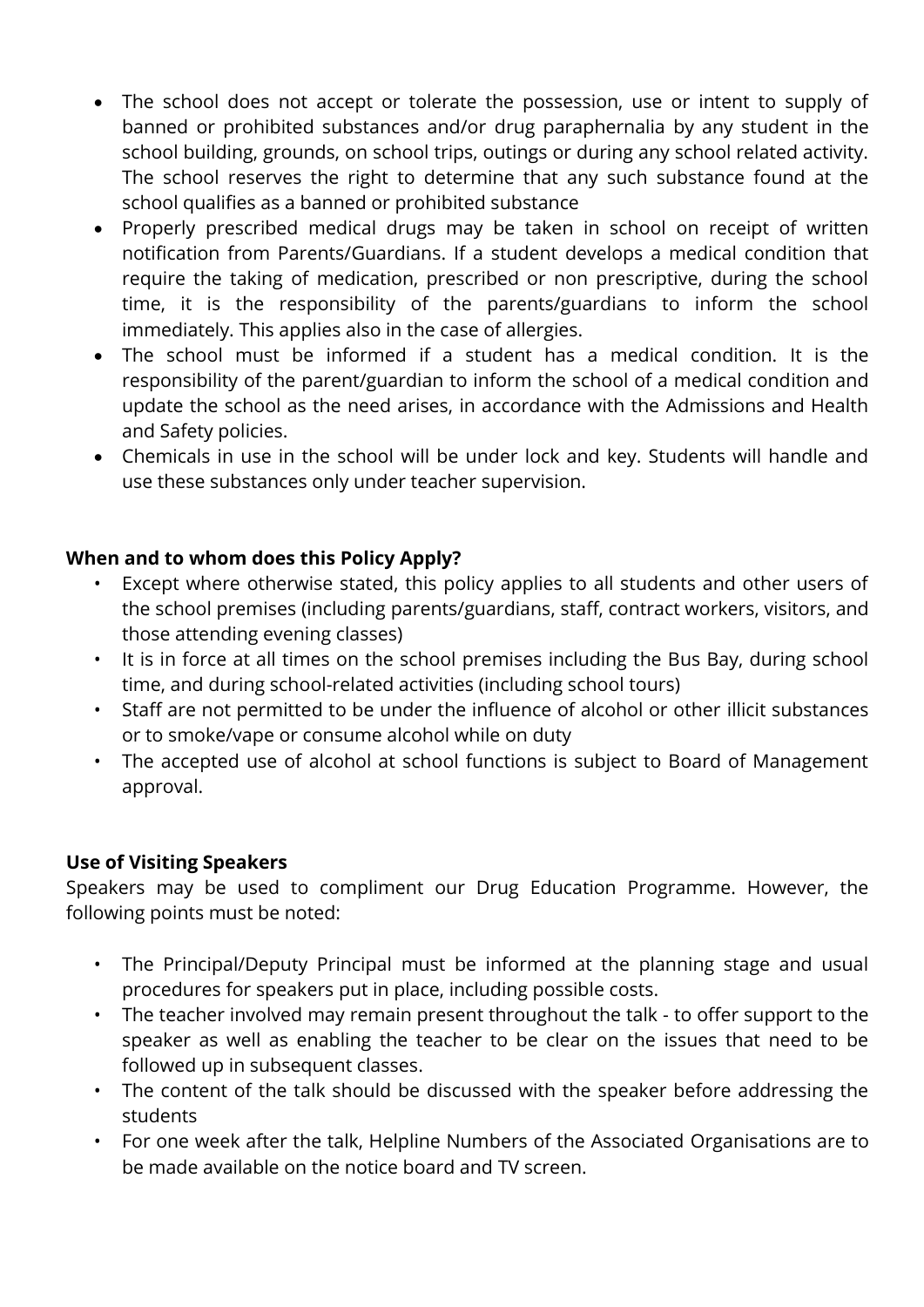- The school does not accept or tolerate the possession, use or intent to supply of banned or prohibited substances and/or drug paraphernalia by any student in the school building, grounds, on school trips, outings or during any school related activity. The school reserves the right to determine that any such substance found at the school qualifies as a banned or prohibited substance
- Properly prescribed medical drugs may be taken in school on receipt of written notification from Parents/Guardians. If a student develops a medical condition that require the taking of medication, prescribed or non prescriptive, during the school time, it is the responsibility of the parents/guardians to inform the school immediately. This applies also in the case of allergies.
- The school must be informed if a student has a medical condition. It is the responsibility of the parent/guardian to inform the school of a medical condition and update the school as the need arises, in accordance with the Admissions and Health and Safety policies.
- Chemicals in use in the school will be under lock and key. Students will handle and use these substances only under teacher supervision.

#### **When and to whom does this Policy Apply?**

- Except where otherwise stated, this policy applies to all students and other users of the school premises (including parents/guardians, staff, contract workers, visitors, and those attending evening classes)
- It is in force at all times on the school premises including the Bus Bay, during school time, and during school-related activities (including school tours)
- Staff are not permitted to be under the influence of alcohol or other illicit substances or to smoke/vape or consume alcohol while on duty
- The accepted use of alcohol at school functions is subject to Board of Management approval.

#### **Use of Visiting Speakers**

Speakers may be used to compliment our Drug Education Programme. However, the following points must be noted:

- The Principal/Deputy Principal must be informed at the planning stage and usual procedures for speakers put in place, including possible costs.
- The teacher involved may remain present throughout the talk to offer support to the speaker as well as enabling the teacher to be clear on the issues that need to be followed up in subsequent classes.
- The content of the talk should be discussed with the speaker before addressing the students
- For one week after the talk, Helpline Numbers of the Associated Organisations are to be made available on the notice board and TV screen.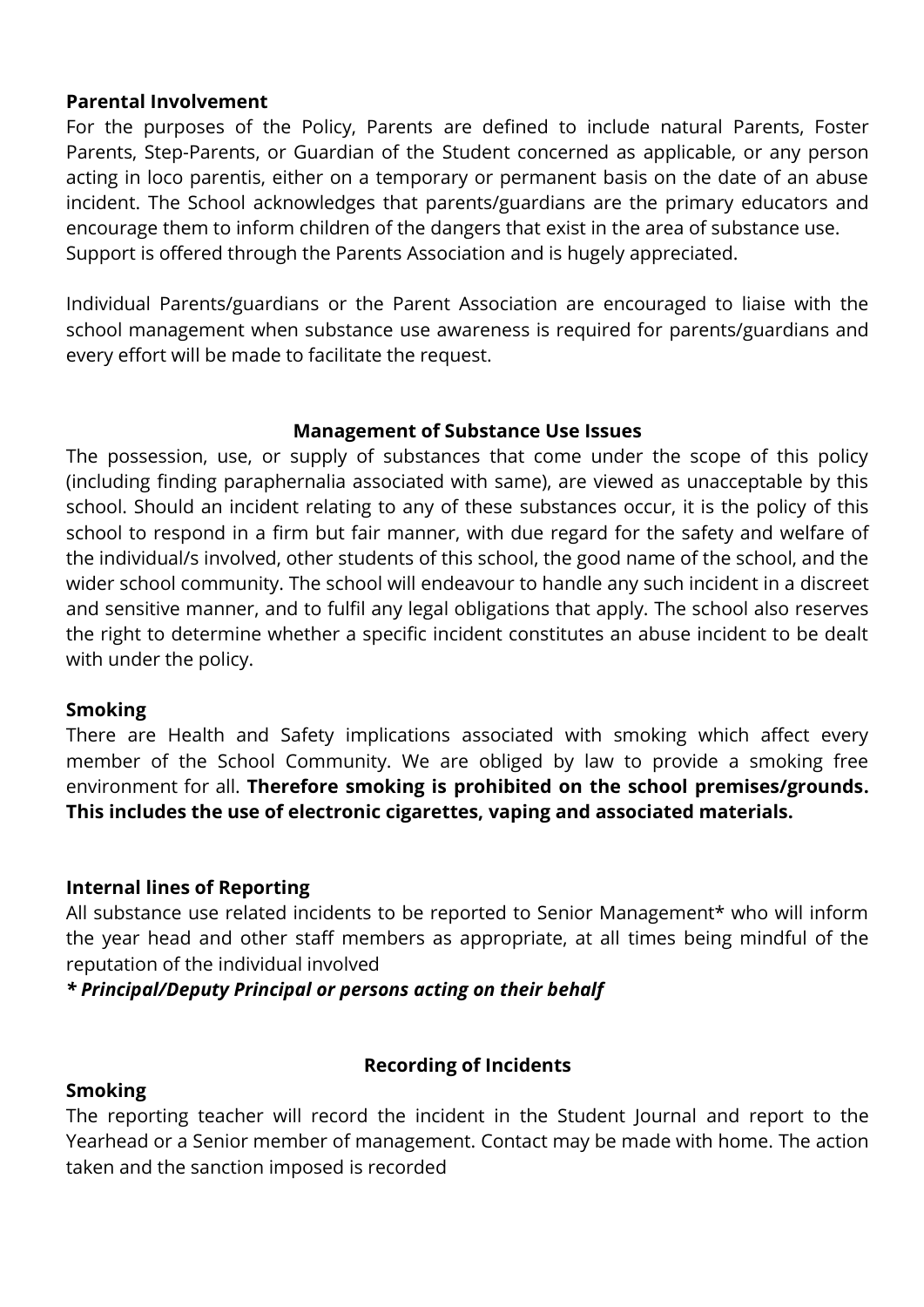#### **Parental Involvement**

For the purposes of the Policy, Parents are defined to include natural Parents, Foster Parents, Step-Parents, or Guardian of the Student concerned as applicable, or any person acting in loco parentis, either on a temporary or permanent basis on the date of an abuse incident. The School acknowledges that parents/guardians are the primary educators and encourage them to inform children of the dangers that exist in the area of substance use. Support is offered through the Parents Association and is hugely appreciated.

Individual Parents/guardians or the Parent Association are encouraged to liaise with the school management when substance use awareness is required for parents/guardians and every effort will be made to facilitate the request.

#### **Management of Substance Use Issues**

The possession, use, or supply of substances that come under the scope of this policy (including finding paraphernalia associated with same), are viewed as unacceptable by this school. Should an incident relating to any of these substances occur, it is the policy of this school to respond in a firm but fair manner, with due regard for the safety and welfare of the individual/s involved, other students of this school, the good name of the school, and the wider school community. The school will endeavour to handle any such incident in a discreet and sensitive manner, and to fulfil any legal obligations that apply. The school also reserves the right to determine whether a specific incident constitutes an abuse incident to be dealt with under the policy.

#### **Smoking**

There are Health and Safety implications associated with smoking which affect every member of the School Community. We are obliged by law to provide a smoking free environment for all. **Therefore smoking is prohibited on the school premises/grounds. This includes the use of electronic cigarettes, vaping and associated materials.** 

#### **Internal lines of Reporting**

All substance use related incidents to be reported to Senior Management\* who will inform the year head and other staff members as appropriate, at all times being mindful of the reputation of the individual involved

*\* Principal/Deputy Principal or persons acting on their behalf*

#### **Recording of Incidents**

#### **Smoking**

The reporting teacher will record the incident in the Student Journal and report to the Yearhead or a Senior member of management. Contact may be made with home. The action taken and the sanction imposed is recorded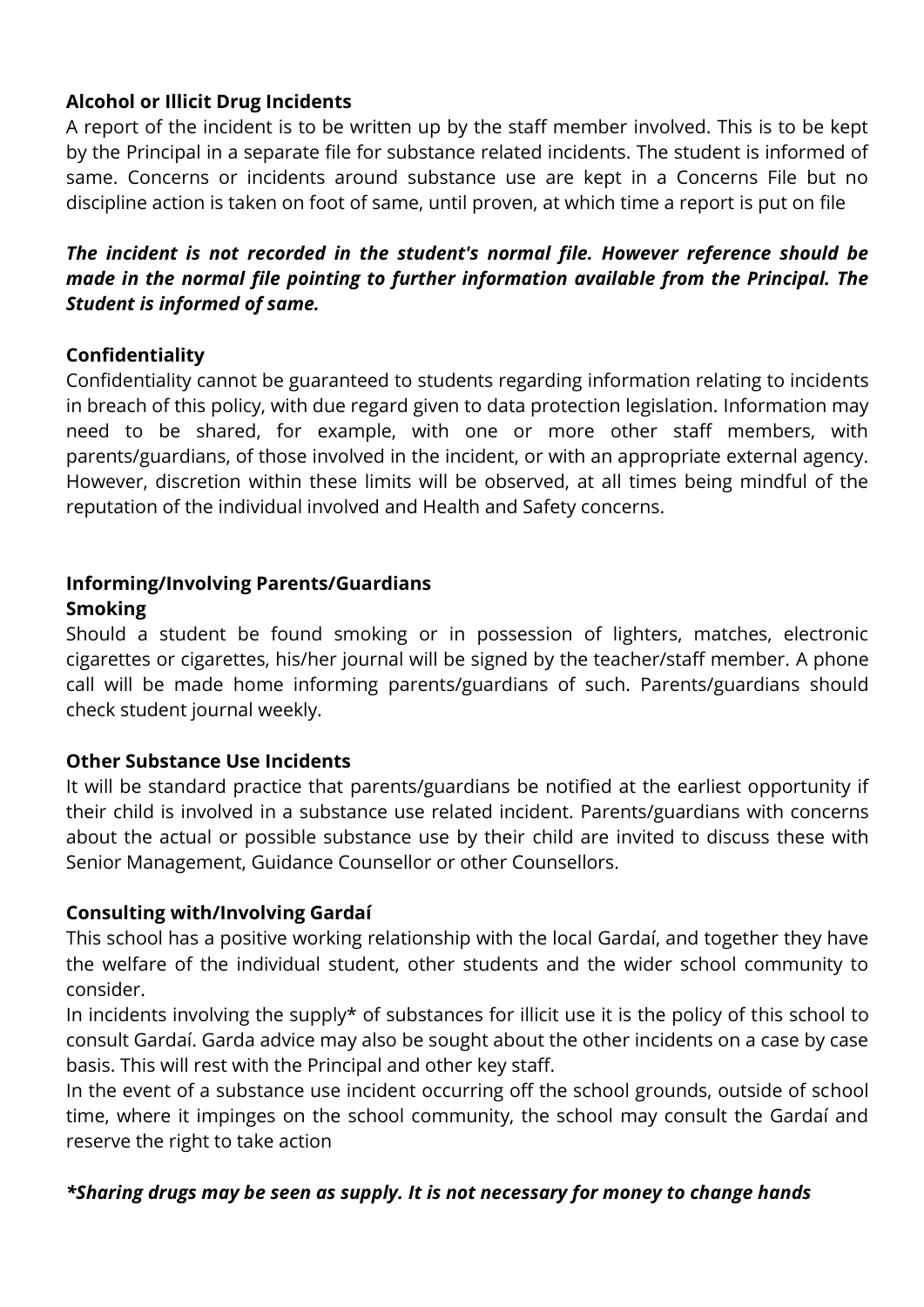#### **Alcohol or Illicit Drug Incidents**

A report of the incident is to be written up by the staff member involved. This is to be kept by the Principal in a separate file for substance related incidents. The student is informed of same. Concerns or incidents around substance use are kept in a Concerns File but no discipline action is taken on foot of same, until proven, at which time a report is put on file

#### *The incident is not recorded in the student's normal file. However reference should be made in the normal file pointing to further information available from the Principal. The Student is informed of same.*

#### **Confidentiality**

Confidentiality cannot be guaranteed to students regarding information relating to incidents in breach of this policy, with due regard given to data protection legislation. Information may need to be shared, for example, with one or more other staff members, with parents/guardians, of those involved in the incident, or with an appropriate external agency. However, discretion within these limits will be observed, at all times being mindful of the reputation of the individual involved and Health and Safety concerns.

#### **Informing/Involving Parents/Guardians Smoking**

Should a student be found smoking or in possession of lighters, matches, electronic cigarettes or cigarettes, his/her journal will be signed by the teacher/staff member. A phone call will be made home informing parents/guardians of such. Parents/guardians should check student journal weekly.

#### **Other Substance Use Incidents**

It will be standard practice that parents/guardians be notified at the earliest opportunity if their child is involved in a substance use related incident. Parents/guardians with concerns about the actual or possible substance use by their child are invited to discuss these with Senior Management, Guidance Counsellor or other Counsellors.

#### **Consulting with/Involving Gardaí**

This school has a positive working relationship with the local Gardaí, and together they have the welfare of the individual student, other students and the wider school community to consider.

In incidents involving the supply\* of substances for illicit use it is the policy of this school to consult Gardaí. Garda advice may also be sought about the other incidents on a case by case basis. This will rest with the Principal and other key staff.

In the event of a substance use incident occurring off the school grounds, outside of school time, where it impinges on the school community, the school may consult the Gardaí and reserve the right to take action

#### *\*Sharing drugs may be seen as supply. It is not necessary for money to change hands*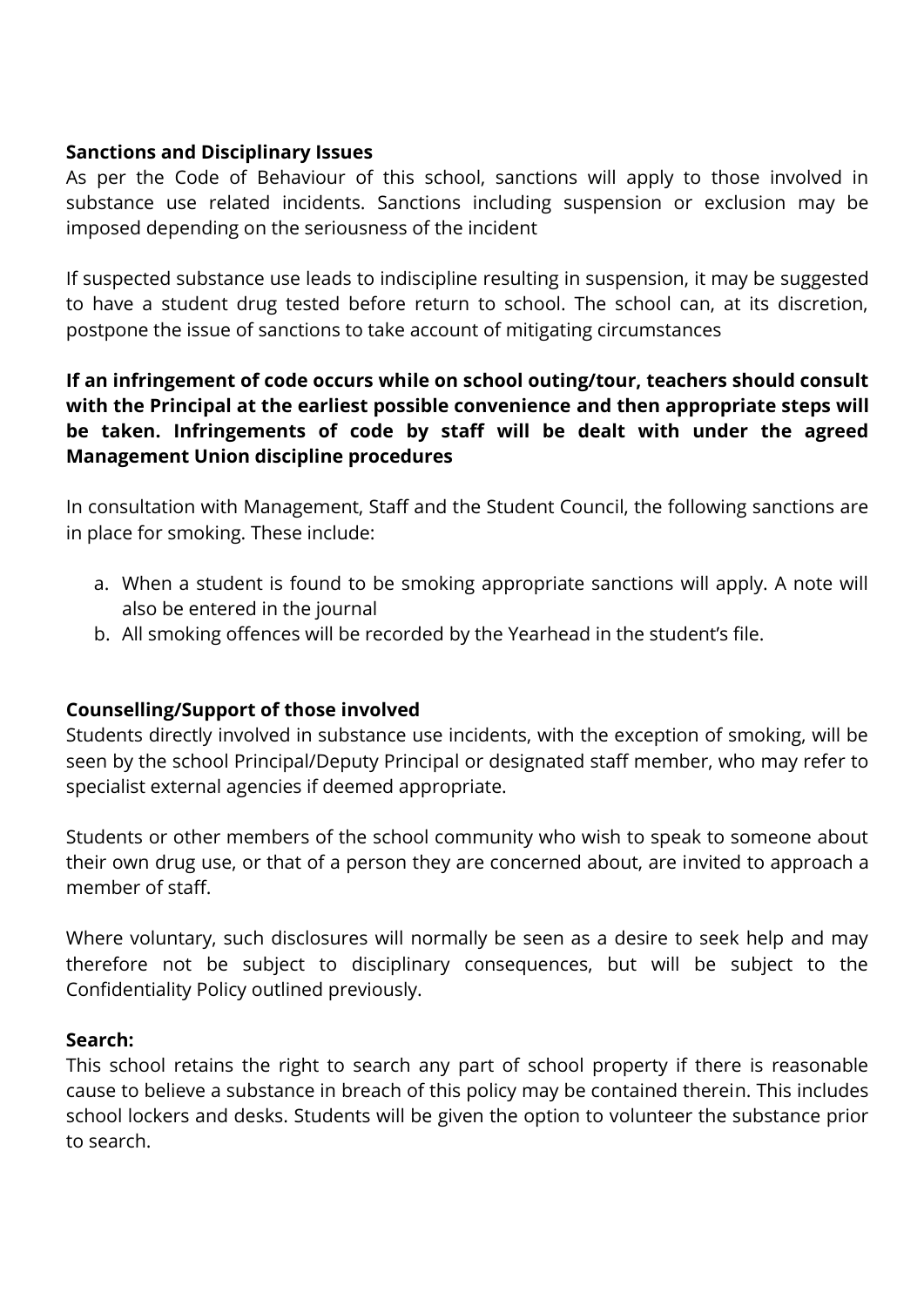#### **Sanctions and Disciplinary Issues**

As per the Code of Behaviour of this school, sanctions will apply to those involved in substance use related incidents. Sanctions including suspension or exclusion may be imposed depending on the seriousness of the incident

If suspected substance use leads to indiscipline resulting in suspension, it may be suggested to have a student drug tested before return to school. The school can, at its discretion, postpone the issue of sanctions to take account of mitigating circumstances

#### **If an infringement of code occurs while on school outing/tour, teachers should consult with the Principal at the earliest possible convenience and then appropriate steps will be taken. Infringements of code by staff will be dealt with under the agreed Management Union discipline procedures**

In consultation with Management, Staff and the Student Council, the following sanctions are in place for smoking. These include:

- a. When a student is found to be smoking appropriate sanctions will apply. A note will also be entered in the journal
- b. All smoking offences will be recorded by the Yearhead in the student's file.

#### **Counselling/Support of those involved**

Students directly involved in substance use incidents, with the exception of smoking, will be seen by the school Principal/Deputy Principal or designated staff member, who may refer to specialist external agencies if deemed appropriate.

Students or other members of the school community who wish to speak to someone about their own drug use, or that of a person they are concerned about, are invited to approach a member of staff.

Where voluntary, such disclosures will normally be seen as a desire to seek help and may therefore not be subject to disciplinary consequences, but will be subject to the Confidentiality Policy outlined previously.

#### **Search:**

This school retains the right to search any part of school property if there is reasonable cause to believe a substance in breach of this policy may be contained therein. This includes school lockers and desks. Students will be given the option to volunteer the substance prior to search.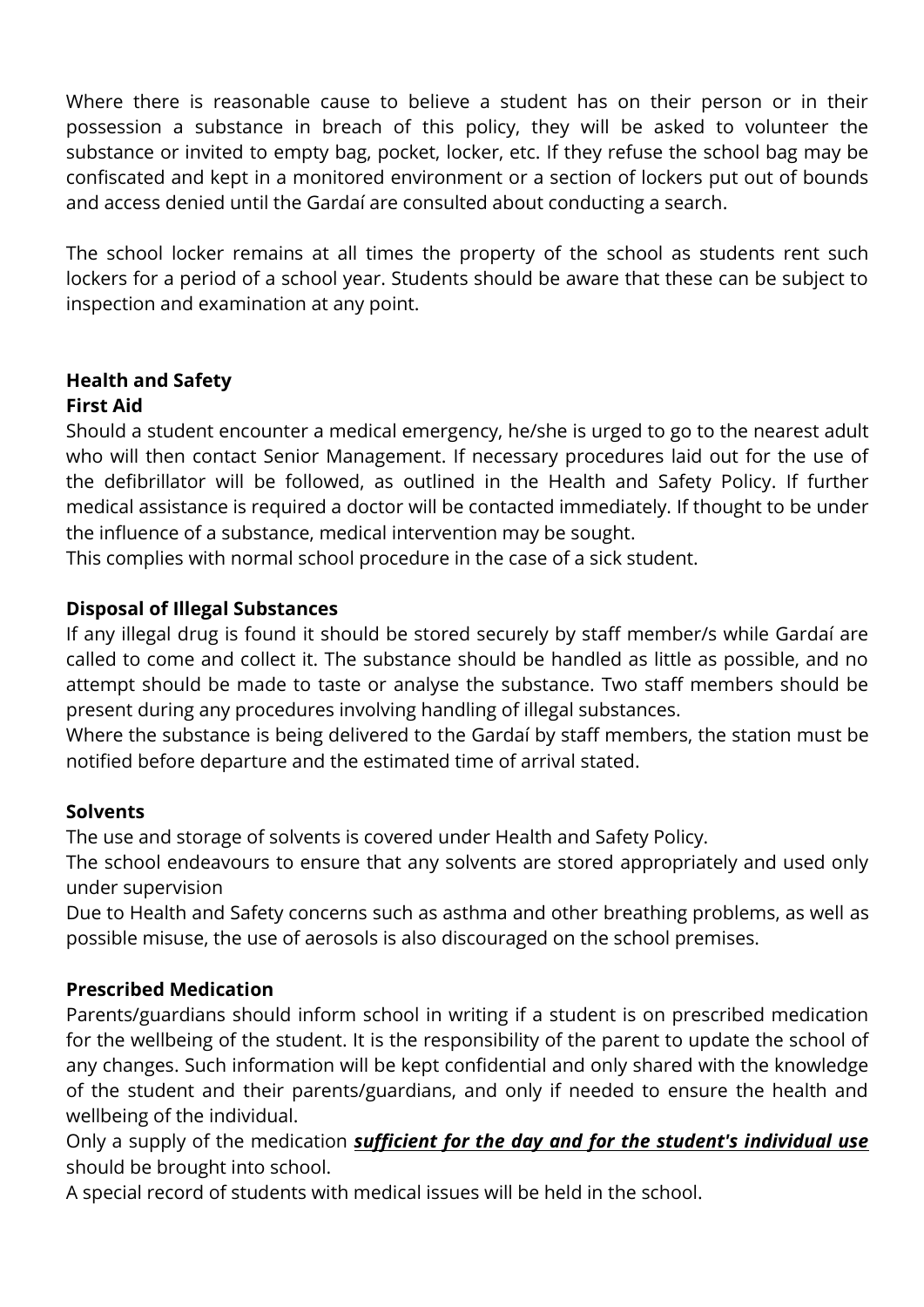Where there is reasonable cause to believe a student has on their person or in their possession a substance in breach of this policy, they will be asked to volunteer the substance or invited to empty bag, pocket, locker, etc. If they refuse the school bag may be confiscated and kept in a monitored environment or a section of lockers put out of bounds and access denied until the Gardaí are consulted about conducting a search.

The school locker remains at all times the property of the school as students rent such lockers for a period of a school year. Students should be aware that these can be subject to inspection and examination at any point.

#### **Health and Safety First Aid**

Should a student encounter a medical emergency, he/she is urged to go to the nearest adult who will then contact Senior Management. If necessary procedures laid out for the use of the defibrillator will be followed, as outlined in the Health and Safety Policy. If further medical assistance is required a doctor will be contacted immediately. If thought to be under the influence of a substance, medical intervention may be sought.

This complies with normal school procedure in the case of a sick student.

#### **Disposal of Illegal Substances**

If any illegal drug is found it should be stored securely by staff member/s while Gardaí are called to come and collect it. The substance should be handled as little as possible, and no attempt should be made to taste or analyse the substance. Two staff members should be present during any procedures involving handling of illegal substances.

Where the substance is being delivered to the Gardaí by staff members, the station must be notified before departure and the estimated time of arrival stated.

#### **Solvents**

The use and storage of solvents is covered under Health and Safety Policy.

The school endeavours to ensure that any solvents are stored appropriately and used only under supervision

Due to Health and Safety concerns such as asthma and other breathing problems, as well as possible misuse, the use of aerosols is also discouraged on the school premises.

#### **Prescribed Medication**

Parents/guardians should inform school in writing if a student is on prescribed medication for the wellbeing of the student. It is the responsibility of the parent to update the school of any changes. Such information will be kept confidential and only shared with the knowledge of the student and their parents/guardians, and only if needed to ensure the health and wellbeing of the individual.

Only a supply of the medication *sufficient for the day and for the student's individual use*  should be brought into school.

A special record of students with medical issues will be held in the school.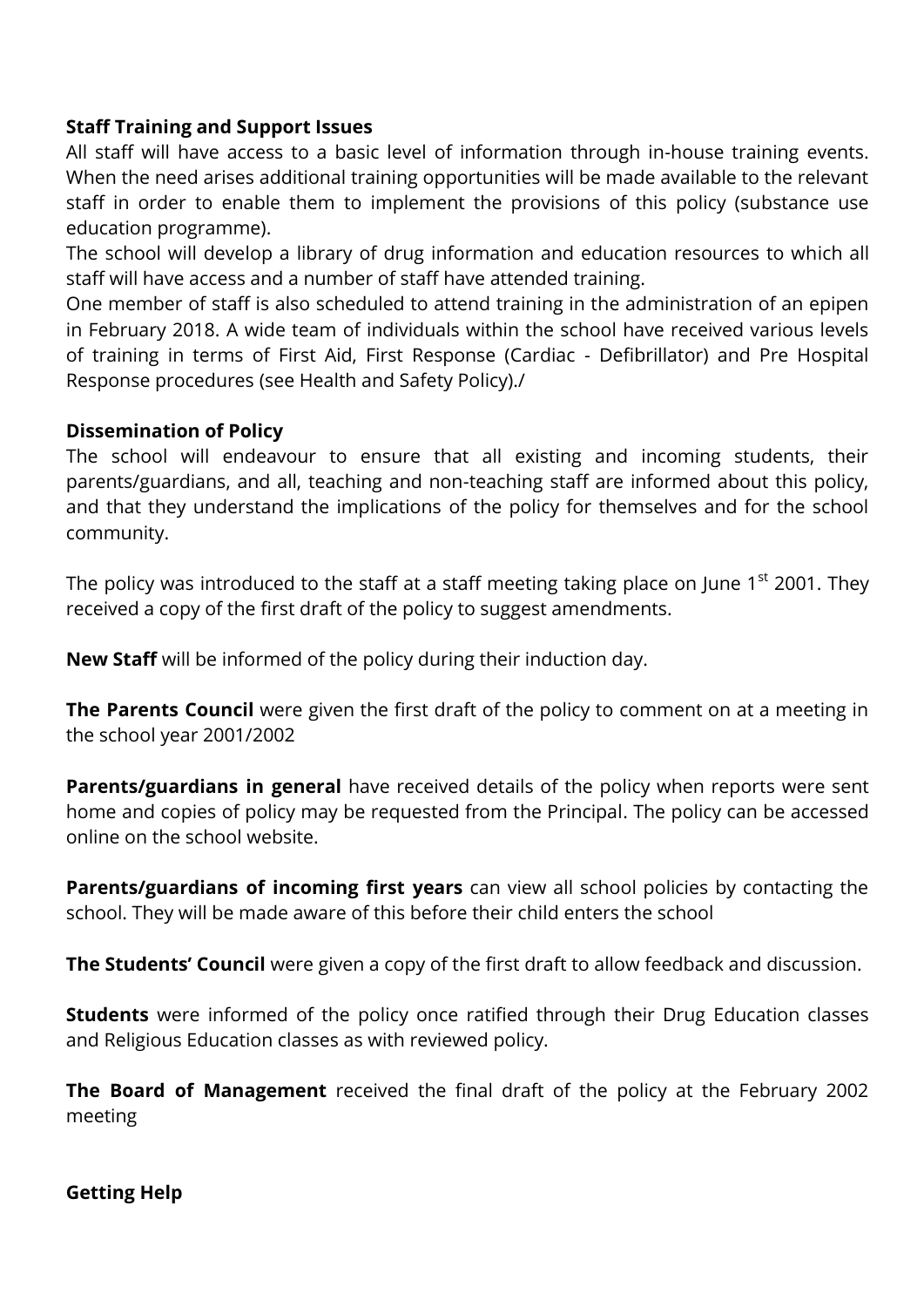#### **Staff Training and Support Issues**

All staff will have access to a basic level of information through in-house training events. When the need arises additional training opportunities will be made available to the relevant staff in order to enable them to implement the provisions of this policy (substance use education programme).

The school will develop a library of drug information and education resources to which all staff will have access and a number of staff have attended training.

One member of staff is also scheduled to attend training in the administration of an epipen in February 2018. A wide team of individuals within the school have received various levels of training in terms of First Aid, First Response (Cardiac - Defibrillator) and Pre Hospital Response procedures (see Health and Safety Policy)./

#### **Dissemination of Policy**

The school will endeavour to ensure that all existing and incoming students, their parents/guardians, and all, teaching and non-teaching staff are informed about this policy, and that they understand the implications of the policy for themselves and for the school community.

The policy was introduced to the staff at a staff meeting taking place on June  $1<sup>st</sup>$  2001. They received a copy of the first draft of the policy to suggest amendments.

**New Staff** will be informed of the policy during their induction day.

**The Parents Council** were given the first draft of the policy to comment on at a meeting in the school year 2001/2002

**Parents/guardians in general** have received details of the policy when reports were sent home and copies of policy may be requested from the Principal. The policy can be accessed online on the school website.

**Parents/guardians of incoming first years** can view all school policies by contacting the school. They will be made aware of this before their child enters the school

**The Students' Council** were given a copy of the first draft to allow feedback and discussion.

**Students** were informed of the policy once ratified through their Drug Education classes and Religious Education classes as with reviewed policy.

**The Board of Management** received the final draft of the policy at the February 2002 meeting

#### **Getting Help**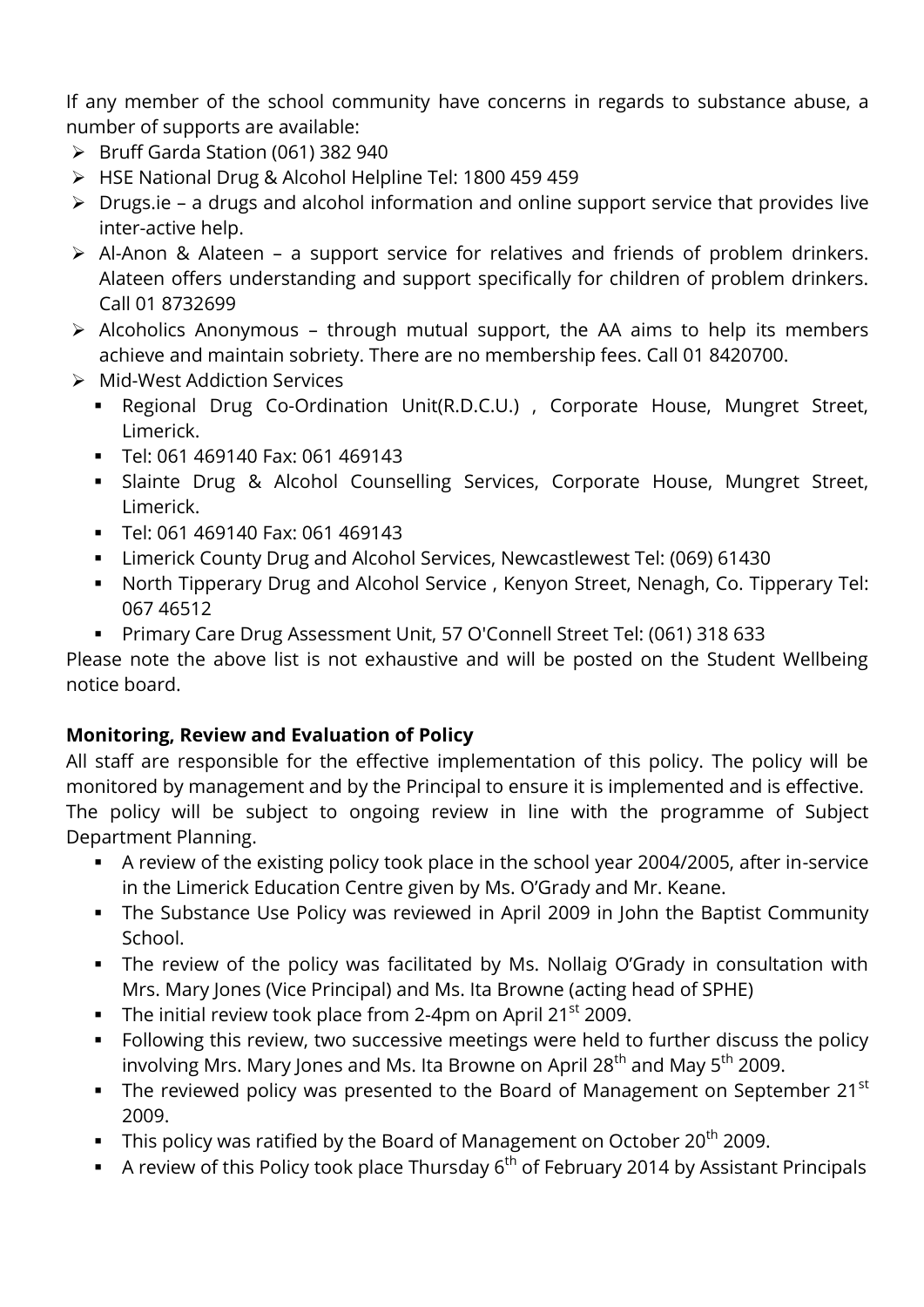If any member of the school community have concerns in regards to substance abuse, a number of supports are available:

- $\triangleright$  Bruff Garda Station (061) 382 940
- HSE National Drug & Alcohol Helpline Tel: 1800 459 459
- $\triangleright$  Drugs.ie a drugs and alcohol information and online support service that provides live inter-active help.
- Al-Anon & Alateen a support service for relatives and friends of problem drinkers. Alateen offers understanding and support specifically for children of problem drinkers. Call 01 8732699
- $\triangleright$  Alcoholics Anonymous through mutual support, the AA aims to help its members achieve and maintain sobriety. There are no membership fees. Call 01 8420700.
- Mid-West Addiction Services
	- Regional Drug Co-Ordination Unit(R.D.C.U.) , Corporate House, Mungret Street, Limerick.
	- Tel: 061 469140 Fax: 061 469143
	- Slainte Drug & Alcohol Counselling Services, Corporate House, Mungret Street, Limerick.
	- Tel: 061 469140 Fax: 061 469143
	- Limerick County Drug and Alcohol Services, Newcastlewest Tel: (069) 61430
	- North Tipperary Drug and Alcohol Service , Kenyon Street, Nenagh, Co. Tipperary Tel: 067 46512
	- Primary Care Drug Assessment Unit, 57 O'Connell Street Tel: (061) 318 633

Please note the above list is not exhaustive and will be posted on the Student Wellbeing notice board.

#### **Monitoring, Review and Evaluation of Policy**

All staff are responsible for the effective implementation of this policy. The policy will be monitored by management and by the Principal to ensure it is implemented and is effective. The policy will be subject to ongoing review in line with the programme of Subject Department Planning.

- A review of the existing policy took place in the school year 2004/2005, after in-service in the Limerick Education Centre given by Ms. O'Grady and Mr. Keane.
- The Substance Use Policy was reviewed in April 2009 in John the Baptist Community School.
- The review of the policy was facilitated by Ms. Nollaig O'Grady in consultation with Mrs. Mary Jones (Vice Principal) and Ms. Ita Browne (acting head of SPHE)
- The initial review took place from 2-4pm on April  $21<sup>st</sup>$  2009.
- Following this review, two successive meetings were held to further discuss the policy involving Mrs. Mary Jones and Ms. Ita Browne on April 28<sup>th</sup> and May 5<sup>th</sup> 2009.
- The reviewed policy was presented to the Board of Management on September 21 $^{\rm st}$ 2009.
- This policy was ratified by the Board of Management on October  $20^{th}$  2009.
- A review of this Policy took place Thursday  $6<sup>th</sup>$  of February 2014 by Assistant Principals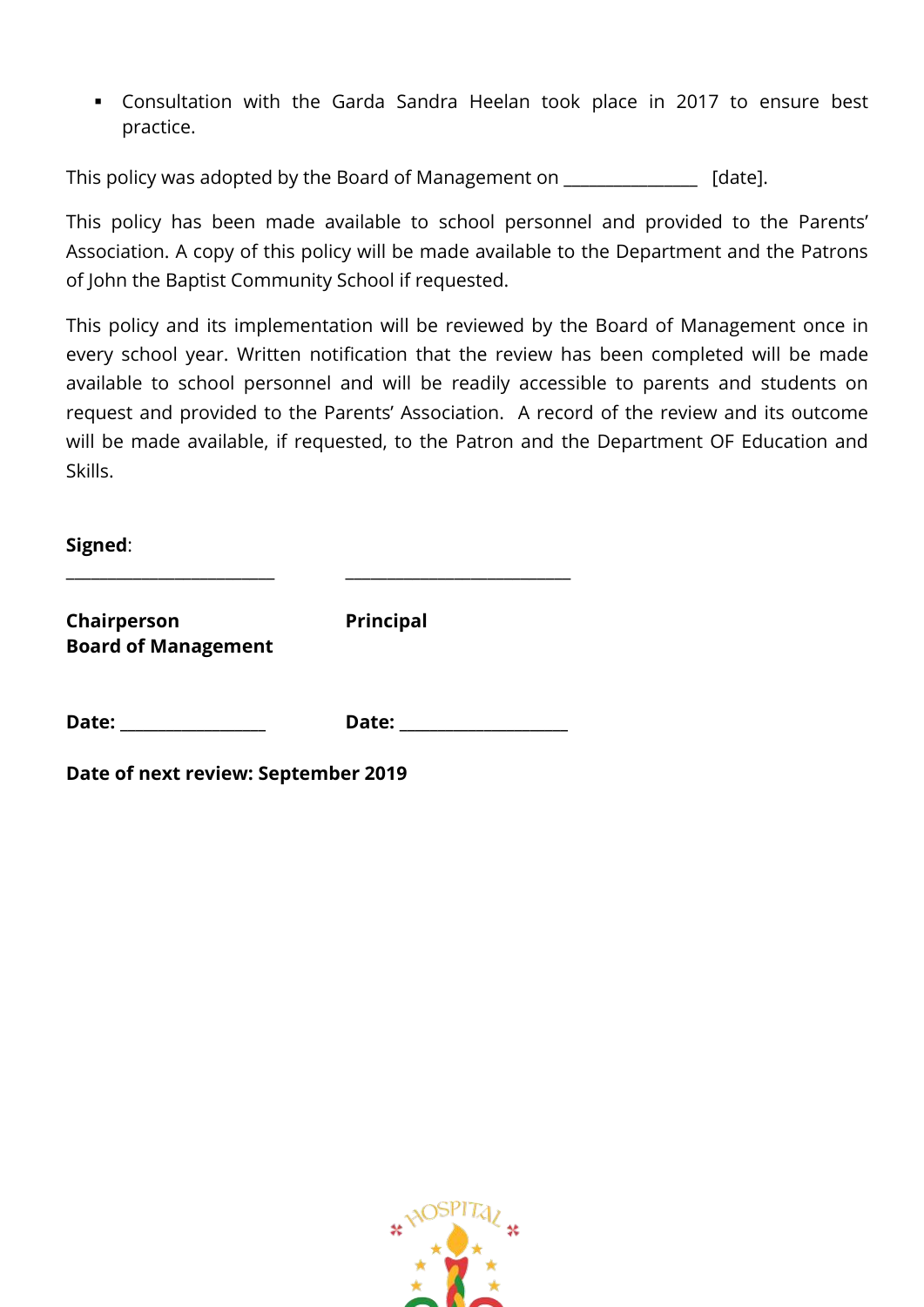Consultation with the Garda Sandra Heelan took place in 2017 to ensure best practice.

This policy was adopted by the Board of Management on [date].

This policy has been made available to school personnel and provided to the Parents' Association. A copy of this policy will be made available to the Department and the Patrons of John the Baptist Community School if requested.

This policy and its implementation will be reviewed by the Board of Management once in every school year. Written notification that the review has been completed will be made available to school personnel and will be readily accessible to parents and students on request and provided to the Parents' Association. A record of the review and its outcome will be made available, if requested, to the Patron and the Department OF Education and Skills.

**Signed**:

**Chairperson Principal Board of Management** 

\_\_\_\_\_\_\_\_\_\_\_\_\_\_\_\_\_\_\_\_\_\_\_\_\_ \_\_\_\_\_\_\_\_\_\_\_\_\_\_\_\_\_\_\_\_\_\_\_\_\_\_\_

**Date: \_\_\_\_\_\_\_\_\_\_\_\_\_\_\_\_\_\_\_ Date: \_\_\_\_\_\_\_\_\_\_\_\_\_\_\_\_\_\_\_\_\_\_** 

**Date of next review: September 2019**